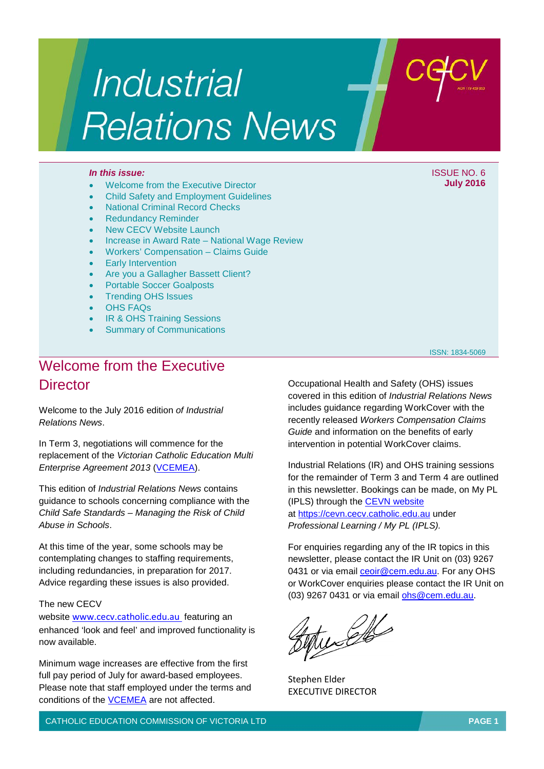# **Industrial Relations News**

- Welcome from the Executive Director
- Child Safety and Employment Guidelines
- National Criminal Record Checks
- Redundancy Reminder
- **New CECV Website Launch**
- Increase in Award Rate National Wage Review
- Workers' Compensation Claims Guide
- **Early Intervention**
- Are you a Gallagher Bassett Client?
- Portable Soccer Goalposts
- Trending OHS Issues
- OHS FAQs
- IR & OHS Training Sessions
- **Summary of Communications**

### Welcome from the Executive **Director**

Welcome to the July 2016 edition *of Industrial Relations News*.

In Term 3, negotiations will commence for the replacement of the *Victorian Catholic Education Multi Enterprise Agreement 2013 [\(VCEMEA\)](http://www.cecv.catholic.edu.au/vcsa/Agreement_2013/VCEMEA_2013.pdf).* 

This edition of *Industrial Relations News* contains guidance to schools concerning compliance with the *Child Safe Standards – Managing the Risk of Child Abuse in Schools*.

At this time of the year, some schools may be contemplating changes to staffing requirements, including redundancies, in preparation for 2017. Advice regarding these issues is also provided.

### The new CECV

website [www.cecv.catholic.edu.au](http://www.cecv.catholic.edu.au/) featuring an enhanced 'look and feel' and improved functionality is now available.

Minimum wage increases are effective from the first full pay period of July for award-based employees. Please note that staff employed under the terms and conditions of the [VCEMEA](http://www.cecv.catholic.edu.au/vcsa/Agreement_2013/VCEMEA_2013.pdf) are not affected.

Occupational Health and Safety (OHS) issues covered in this edition of *Industrial Relations News* includes guidance regarding WorkCover with the recently released *Workers Compensation Claims Guide* and information on the benefits of early intervention in potential WorkCover claims.

Industrial Relations (IR) and OHS training sessions for the remainder of Term 3 and Term 4 are outlined in this newsletter. Bookings can be made, on My PL (IPLS) through the [CEVN website](https://cevn.cecv.catholic.edu.au/secure/CEVNLogin.aspx?redirect=http://cevn.cecv.catholic.edu.au/Default.aspx) at [https://cevn.cecv.catholic.edu.au](https://cevn.cecv.catholic.edu.au/) under *Professional Learning / My PL (IPLS).*

For enquiries regarding any of the IR topics in this newsletter, please contact the IR Unit on (03) 9267 0431 or via email ceoir@cem.edu.au. For any OHS or WorkCover enquiries please contact the IR Unit on (03) 9267 0431 or via email [ohs@cem.edu.au.](mailto:ohs@cem.edu.au)

tuech

Stephen Elder EXECUTIVE DIRECTOR

CATHOLIC EDUCATION COMMISSION OF VICTORIA LTD **PAGE 1**

*In this issue:* ISSUE NO. 6 **July 2016**

ISSN: 1834-5069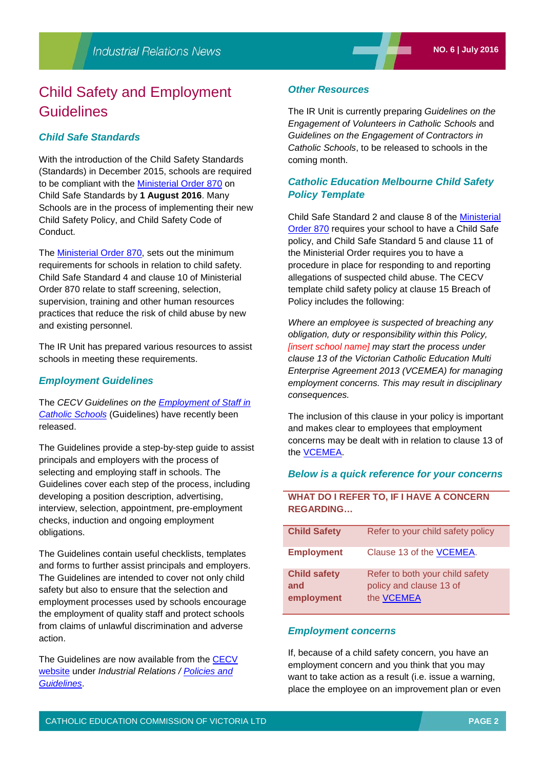### Child Safety and Employment **Guidelines**

### *Child Safe Standards*

With the introduction of the Child Safety Standards (Standards) in December 2015, schools are required to be compliant with the [Ministerial Order 870](http://www.cecv.catholic.edu.au/Industrial-Relations/Leave/Child-Safe-Standards) on Child Safe Standards by **1 August 2016**. Many Schools are in the process of implementing their new Child Safety Policy, and Child Safety Code of Conduct.

The [Ministerial Order 870,](http://www.cecv.catholic.edu.au/Industrial-Relations/Leave/Child-Safe-Standards) sets out the minimum requirements for schools in relation to child safety. Child Safe Standard 4 and clause 10 of Ministerial Order 870 relate to staff screening, selection, supervision, training and other human resources practices that reduce the risk of child abuse by new and existing personnel.

The IR Unit has prepared various resources to assist schools in meeting these requirements.

### *Employment Guidelines*

The *CECV Guidelines on the [Employment of Staff in](http://www.cecv.catholic.edu.au/Industrial-Relations/Policies-and-Guidelines/Child-Safety)  [Catholic Schools](http://www.cecv.catholic.edu.au/Industrial-Relations/Policies-and-Guidelines/Child-Safety)* (Guidelines) have recently been released.

The Guidelines provide a step-by-step guide to assist principals and employers with the process of selecting and employing staff in schools. The Guidelines cover each step of the process, including developing a position description, advertising, interview, selection, appointment, pre-employment checks, induction and ongoing employment obligations.

The Guidelines contain useful checklists, templates and forms to further assist principals and employers. The Guidelines are intended to cover not only child safety but also to ensure that the selection and employment processes used by schools encourage the employment of quality staff and protect schools from claims of unlawful discrimination and adverse action.

The Guidelines are now available from the CECV [website](http://www.cecv.catholic.edu.au/) under *Industrial Relations / [Policies and](http://www.cecv.catholic.edu.au/Industrial-Relations/Policies-and-Guidelines/Child-Safety)  [Guidelines](http://www.cecv.catholic.edu.au/Industrial-Relations/Policies-and-Guidelines/Child-Safety)*.

#### *Other Resources*

The IR Unit is currently preparing *Guidelines on the Engagement of Volunteers in Catholic Schools* and *Guidelines on the Engagement of Contractors in Catholic Schools*, to be released to schools in the coming month.

### *Catholic Education Melbourne Child Safety Policy Template*

Child Safe Standard 2 and clause 8 of the [Ministerial](http://www.cecv.catholic.edu.au/Industrial-Relations/Leave/Child-Safe-Standards)  [Order 870](http://www.cecv.catholic.edu.au/Industrial-Relations/Leave/Child-Safe-Standards) requires your school to have a Child Safe policy, and Child Safe Standard 5 and clause 11 of the Ministerial Order requires you to have a procedure in place for responding to and reporting allegations of suspected child abuse. The CECV template child safety policy at clause 15 Breach of Policy includes the following:

*Where an employee is suspected of breaching any obligation, duty or responsibility within this Policy, [insert school name] may start the process under clause 13 of the Victorian Catholic Education Multi Enterprise Agreement 2013 (VCEMEA) for managing employment concerns. This may result in disciplinary consequences.*

The inclusion of this clause in your policy is important and makes clear to employees that employment concerns may be dealt with in relation to clause 13 of the [VCEMEA.](http://www.cecv.catholic.edu.au/vcsa/Agreement_2013/VCEMEA_2013.pdf)

### *Below is a quick reference for your concerns*

### **WHAT DO I REFER TO, IF I HAVE A CONCERN REGARDING…**

| <b>Child Safety</b>                      | Refer to your child safety policy                                               |
|------------------------------------------|---------------------------------------------------------------------------------|
| <b>Employment</b>                        | Clause 13 of the VCEMEA.                                                        |
| <b>Child safety</b><br>and<br>employment | Refer to both your child safety<br>policy and clause 13 of<br>the <b>VCEMEA</b> |

#### *Employment concerns*

If, because of a child safety concern, you have an employment concern and you think that you may want to take action as a result (i.e. issue a warning, place the employee on an improvement plan or even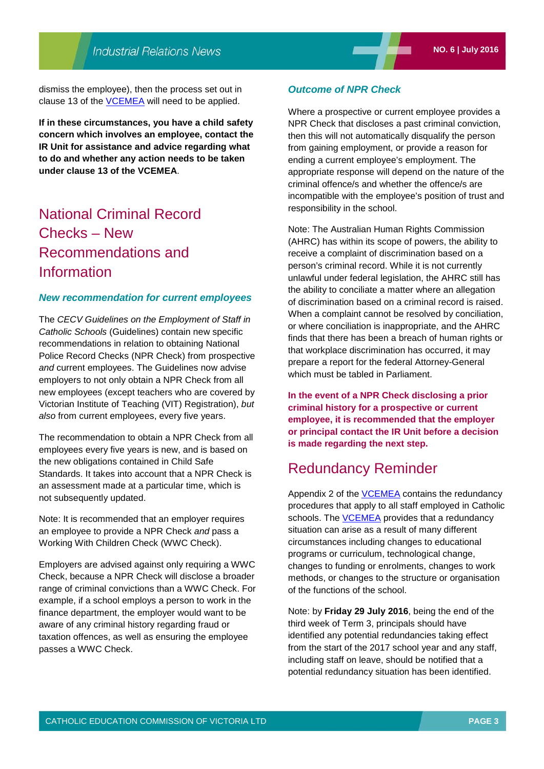dismiss the employee), then the process set out in clause 13 of the **VCEMEA** will need to be applied.

**If in these circumstances, you have a child safety concern which involves an employee, contact the IR Unit for assistance and advice regarding what to do and whether any action needs to be taken under clause 13 of the VCEMEA**.

### National Criminal Record Checks – New Recommendations and Information

### *New recommendation for current employees*

The *CECV Guidelines on the Employment of Staff in Catholic Schools* (Guidelines) contain new specific recommendations in relation to obtaining National Police Record Checks (NPR Check) from prospective *and* current employees. The Guidelines now advise employers to not only obtain a NPR Check from all new employees (except teachers who are covered by Victorian Institute of Teaching (VIT) Registration), *but also* from current employees, every five years.

The recommendation to obtain a NPR Check from all employees every five years is new, and is based on the new obligations contained in Child Safe Standards. It takes into account that a NPR Check is an assessment made at a particular time, which is not subsequently updated.

Note: It is recommended that an employer requires an employee to provide a NPR Check *and* pass a Working With Children Check (WWC Check).

Employers are advised against only requiring a WWC Check, because a NPR Check will disclose a broader range of criminal convictions than a WWC Check. For example, if a school employs a person to work in the finance department, the employer would want to be aware of any criminal history regarding fraud or taxation offences, as well as ensuring the employee passes a WWC Check.

### *Outcome of NPR Check*

Where a prospective or current employee provides a NPR Check that discloses a past criminal conviction, then this will not automatically disqualify the person from gaining employment, or provide a reason for ending a current employee's employment. The appropriate response will depend on the nature of the criminal offence/s and whether the offence/s are incompatible with the employee's position of trust and responsibility in the school.

Note: The Australian Human Rights Commission (AHRC) has within its scope of powers, the ability to receive a complaint of discrimination based on a person's criminal record. While it is not currently unlawful under federal legislation, the AHRC still has the ability to conciliate a matter where an allegation of discrimination based on a criminal record is raised. When a complaint cannot be resolved by conciliation, or where conciliation is inappropriate, and the AHRC finds that there has been a breach of human rights or that workplace discrimination has occurred, it may prepare a report for the federal Attorney-General which must be tabled in Parliament.

**In the event of a NPR Check disclosing a prior criminal history for a prospective or current employee, it is recommended that the employer or principal contact the IR Unit before a decision is made regarding the next step.**

### Redundancy Reminder

Appendix 2 of the **VCEMEA** contains the redundancy procedures that apply to all staff employed in Catholic schools. The **VCEMEA** provides that a redundancy situation can arise as a result of many different circumstances including changes to educational programs or curriculum, technological change, changes to funding or enrolments, changes to work methods, or changes to the structure or organisation of the functions of the school.

Note: by **Friday 29 July 2016**, being the end of the third week of Term 3, principals should have identified any potential redundancies taking effect from the start of the 2017 school year and any staff, including staff on leave, should be notified that a potential redundancy situation has been identified.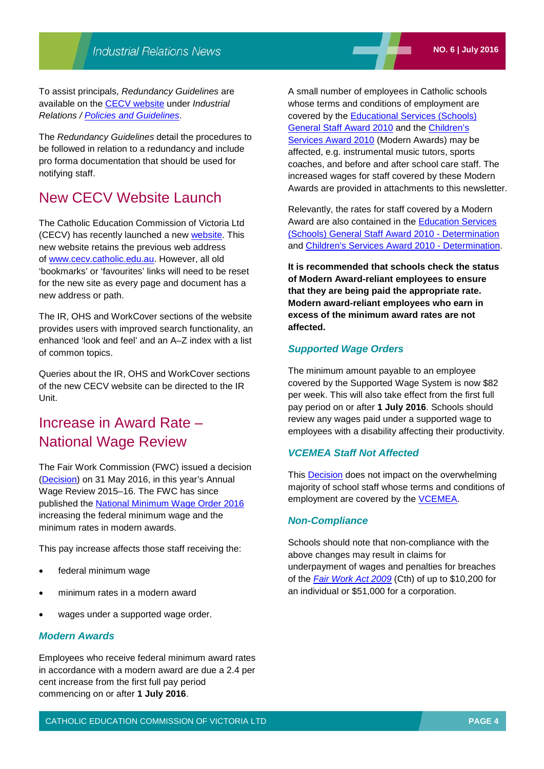To assist principals, *Redundancy Guidelines* are available on the [CECV website](http://www.cecv.catholic.edu.au/) under *Industrial Relations / [Policies and Guidelines](http://www.cecv.catholic.edu.au/Industrial-Relations/Policies-and-Guidelines/End-of-Employment)*.

The *Redundancy Guidelines* detail the procedures to be followed in relation to a redundancy and include pro forma documentation that should be used for notifying staff.

### New CECV Website Launch

The Catholic Education Commission of Victoria Ltd (CECV) has recently launched a new [website.](http://www.cecv.catholic.edu.au/) This new website retains the previous web address of [www.cecv.catholic.edu.au.](http://www.cecv.catholic.edu.au/) However, all old 'bookmarks' or 'favourites' links will need to be reset for the new site as every page and document has a new address or path.

The IR, OHS and WorkCover sections of the website provides users with improved search functionality, an enhanced 'look and feel' and an A–Z index with a list of common topics.

Queries about the IR, OHS and WorkCover sections of the new CECV website can be directed to the IR Unit.

### Increase in Award Rate – National Wage Review

The Fair Work Commission (FWC) issued a decision [\(Decision\)](https://www.fwc.gov.au/documents/decisionssigned/html/2016FWCFB3500.htm) on 31 May 2016, in this year's Annual Wage Review 2015–16. The FWC has since published the [National Minimum Wage Order 2016](https://www.fwc.gov.au/documents/sites/wagereview2016/decisions/c20161-order.pdf) increasing the federal minimum wage and the minimum rates in modern awards.

This pay increase affects those staff receiving the:

- federal minimum wage
- minimum rates in a modern award
- wages under a supported wage order.

### *Modern Awards*

Employees who receive federal minimum award rates in accordance with a modern award are due a 2.4 per cent increase from the first full pay period commencing on or after **1 July 2016**.

A small number of employees in Catholic schools whose terms and conditions of employment are covered by the [Educational Services \(Schools\)](http://www.fwc.gov.au/documents/modern_awards/award/ma000076/default.htm)  [General Staff Award 2010](http://www.fwc.gov.au/documents/modern_awards/award/ma000076/default.htm) and the [Children's](http://www.fwc.gov.au/documents/modern_awards/award/ma000120/default.htm)  [Services Award 2010](http://www.fwc.gov.au/documents/modern_awards/award/ma000120/default.htm) (Modern Awards) may be affected, e.g. instrumental music tutors, sports coaches, and before and after school care staff. The increased wages for staff covered by these Modern Awards are provided in attachments to this newsletter.

Relevantly, the rates for staff covered by a Modern Award are also contained in the [Education Services](https://www.fwc.gov.au/documents/awardsandorders/html/pr579856.htm)  [\(Schools\) General Staff Award 2010](https://www.fwc.gov.au/documents/awardsandorders/html/pr579856.htm) - Determination and [Children's Services Award 2010 -](https://www.fwc.gov.au/documents/awardsandorders/html/pr579915.htm) Determination.

**It is recommended that schools check the status of Modern Award-reliant employees to ensure that they are being paid the appropriate rate. Modern award-reliant employees who earn in excess of the minimum award rates are not affected.**

### *Supported Wage Orders*

The minimum amount payable to an employee covered by the Supported Wage System is now \$82 per week. This will also take effect from the first full pay period on or after **1 July 2016**. Schools should review any wages paid under a supported wage to employees with a disability affecting their productivity.

### *VCEMEA Staff Not Affected*

This **Decision does not impact on the overwhelming** majority of school staff whose terms and conditions of employment are covered by the **VCEMEA**.

#### *Non-Compliance*

Schools should note that non-compliance with the above changes may result in claims for underpayment of wages and penalties for breaches of the *[Fair Work Act 2009](https://www.fwc.gov.au/about-us/legislation-regulations/fair-work-act-2009)* (Cth) of up to \$10,200 for an individual or \$51,000 for a corporation.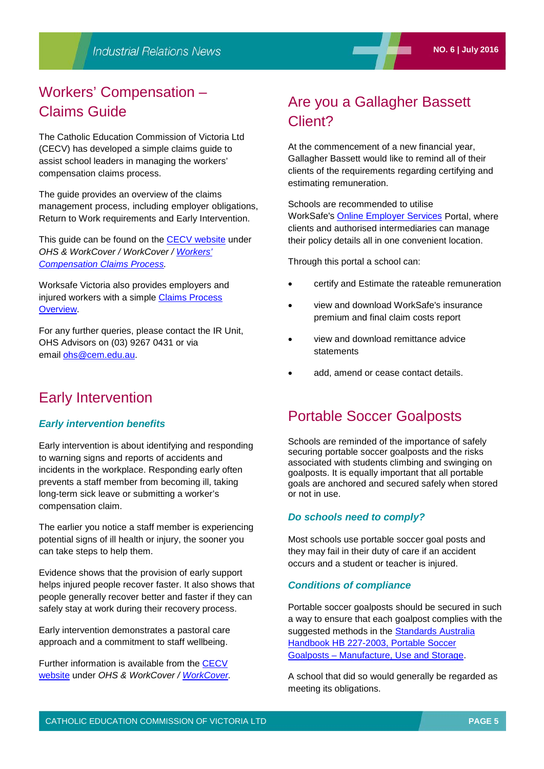## Workers' Compensation – Claims Guide

The Catholic Education Commission of Victoria Ltd (CECV) has developed a simple claims guide to assist school leaders in managing the workers' compensation claims process.

The guide provides an overview of the claims management process, including employer obligations, Return to Work requirements and Early Intervention.

This guide can be found on the [CECV website](http://www.cecv.catholic.edu.au/) under *OHS & WorkCover / WorkCover / [Workers'](http://www.cecv.catholic.edu.au/OHS-WorkCover/WorkCover/Workers-Compensation-Claims-Process)  [Compensation Claims Process.](http://www.cecv.catholic.edu.au/OHS-WorkCover/WorkCover/Workers-Compensation-Claims-Process)*

Worksafe Victoria also provides employers and injured workers with a simple Claims Process [Overview.](http://www.worksafe.vic.gov.au/injury-and-claims/claims-process-overview)

For any further queries, please contact the IR Unit, OHS Advisors on (03) 9267 0431 or via email [ohs@cem.edu.au.](mailto:ohs@cem.edu.au)

### Early Intervention

### *Early intervention benefits*

Early intervention is about identifying and responding to warning signs and reports of accidents and incidents in the workplace. Responding early often prevents a staff member from becoming ill, taking long-term sick leave or submitting a worker's compensation claim.

The earlier you notice a staff member is experiencing potential signs of ill health or injury, the sooner you can take steps to help them.

Evidence shows that the provision of early support helps injured people recover faster. It also shows that people generally recover better and faster if they can safely stay at work during their recovery process.

Early intervention demonstrates a pastoral care approach and a commitment to staff wellbeing.

Further information is available from the [CECV](http://www.cecv.catholic.edu.au/)  [website](http://www.cecv.catholic.edu.au/) under *OHS & WorkCover / [WorkCover.](http://www.cecv.catholic.edu.au/OHS-WorkCover/WorkCover)*

## Are you a Gallagher Bassett Client?

At the commencement of a new financial year, Gallagher Bassett would like to remind all of their clients of the requirements regarding certifying and estimating remuneration.

Schools are recommended to utilise WorkSafe's [Online Employer Services](http://www.worksafe.vic.gov.au/insurance-and-premiums/online-employer-services) Portal, where clients and authorised intermediaries can manage their policy details all in one convenient location.

Through this portal a school can:

- certify and Estimate the [rateable](http://gallagherbassett.us9.list-manage.com/track/click?u=d1be0fc17fd49b1d6dfa92d6a&id=47b1897343&e=f9e41a3862) remuneration
- view and download WorkSafe's insurance premium and final claim costs report
- view and download remittance advice statements
- add, amend or cease contact details.

### Portable Soccer Goalposts

Schools are reminded of the importance of safely securing portable soccer goalposts and the risks associated with students climbing and swinging on goalposts. It is equally important that all portable goals are anchored and secured safely when stored or not in use.

### *Do schools need to comply?*

Most schools use portable soccer goal posts and they may fail in their duty of care if an accident occurs and a student or teacher is injured.

### *Conditions of compliance*

Portable soccer goalposts should be secured in such a way to ensure that each goalpost complies with the suggested methods in the Standards Australia [Handbook HB 227-2003, Portable Soccer](https://www.saiglobal.com/PDFTemp/CustomizedDownload/hb227-2003.pdf)  Goalposts – [Manufacture, Use and Storage.](https://www.saiglobal.com/PDFTemp/CustomizedDownload/hb227-2003.pdf)

A school that did so would generally be regarded as meeting its obligations.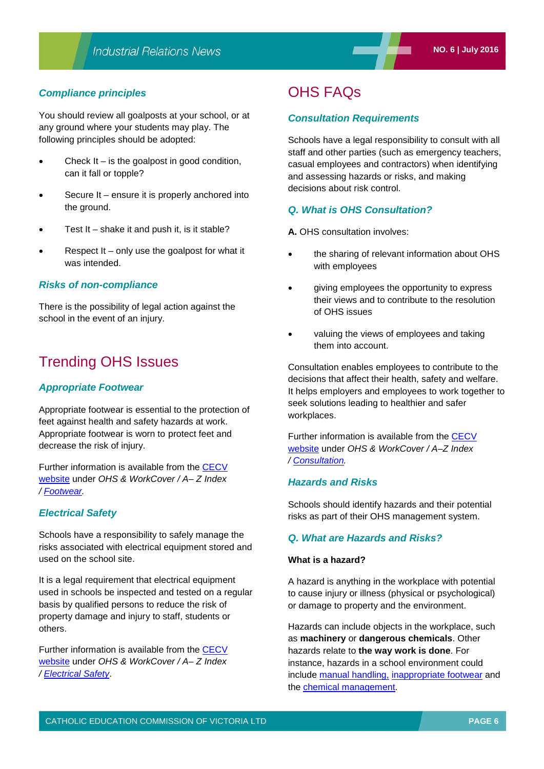### *Compliance principles*

You should review all goalposts at your school, or at any ground where your students may play. The following principles should be adopted:

- Check It is the goalpost in good condition, can it fall or topple?
- Secure It ensure it is properly anchored into the ground.
- Test It shake it and push it, is it stable?
- Respect  $It only use the goalpost for what it$ was intended.

### *Risks of non-compliance*

There is the possibility of legal action against the school in the event of an injury.

### Trending OHS Issues

### *Appropriate Footwear*

Appropriate footwear is essential to the protection of feet against health and safety hazards at work. Appropriate footwear is worn to protect feet and decrease the risk of injury.

Further information is available from the [CECV](http://www.cecv.catholic.edu.au/)  [website](http://www.cecv.catholic.edu.au/) under *OHS & WorkCover / A– Z Index / [Footwear.](http://www.cecv.catholic.edu.au/OHS-WorkCover/Guidelines/Staff,-Visitor-Contractor-Safety/Footwear)*

### *Electrical Safety*

Schools have a responsibility to safely manage the risks associated with electrical equipment stored and used on the school site.

It is a legal requirement that electrical equipment used in schools be inspected and tested on a regular basis by qualified persons to reduce the risk of property damage and injury to staff, students or others.

Further information is available from the [CECV](http://www.cecv.catholic.edu.au/)  [website](http://www.cecv.catholic.edu.au/) under *OHS & WorkCover / A– Z Index / [Electrical Safety](http://www.cecv.catholic.edu.au/OHS-WorkCover/Guidelines/Specialist-Areas/Electrical-Safety)*.

### OHS FAQs

### *Consultation Requirements*

Schools have a legal responsibility to consult with all staff and other parties (such as emergency teachers, casual employees and contractors) when identifying and assessing hazards or risks, and making decisions about risk control.

### *Q. What is OHS Consultation?*

- **A.** OHS consultation involves:
- the sharing of relevant information about OHS with employees
- giving employees the opportunity to express their views and to contribute to the resolution of OHS issues
- valuing the views of employees and taking them into account.

Consultation enables employees to contribute to the decisions that affect their health, safety and welfare. It helps employers and employees to work together to seek solutions leading to healthier and safer workplaces.

Further information is available from the [CECV](http://www.cecv.catholic.edu.au/)  [website](http://www.cecv.catholic.edu.au/) under *OHS & WorkCover / A–Z Index / [Consultation.](http://www.cecv.catholic.edu.au/OHS-WorkCover/Guidelines/OHS-Management-for-School-Leaders/Consultation)*

### *Hazards and Risks*

Schools should identify hazards and their potential risks as part of their OHS management system.

### *Q. What are Hazards and Risks?*

### **What is a hazard?**

A hazard is anything in the workplace with potential to cause injury or illness (physical or psychological) or damage to property and the environment.

Hazards can include objects in the workplace, such as **machinery** or **dangerous chemicals**. Other hazards relate to **the way work is done**. For instance, hazards in a school environment could include [manual handling,](http://www.cecv.catholic.edu.au/OHS-WorkCover/Common-Issues/Manual-Handling) [inappropriate footwear](http://www.cecv.catholic.edu.au/OHS-WorkCover/Guidelines/Staff,-Visitor-Contractor-Safety/Footwear) and the [chemical management.](http://www.cecv.catholic.edu.au/OHS-WorkCover/Guidelines/Hazardous-Substances/Chemical-Management)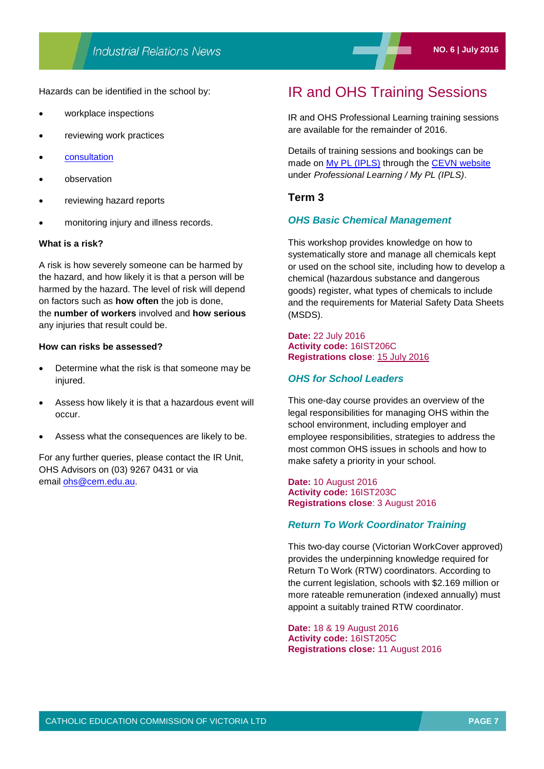Hazards can be identified in the school by:

- workplace inspections
- reviewing work practices
- **[consultation](http://www.cecv.catholic.edu.au/OHS-WorkCover/Guidelines/OHS-Management-for-School-Leaders/Consultation)**
- observation
- reviewing hazard reports
- monitoring injury and illness records.

#### **What is a risk?**

A risk is how severely someone can be harmed by the hazard, and how likely it is that a person will be harmed by the hazard. The level of risk will depend on factors such as **how often** the job is done, the **number of workers** involved and **how serious** any injuries that result could be.

#### **How can risks be assessed?**

- Determine what the risk is that someone may be injured.
- Assess how likely it is that a hazardous event will occur.
- Assess what the consequences are likely to be.

For any further queries, please contact the IR Unit, OHS Advisors on (03) 9267 0431 or via email [ohs@cem.edu.au.](mailto:ohs@cem.edu.au)

### IR and OHS Training Sessions

IR and OHS Professional Learning training sessions are available for the remainder of 2016.

Details of training sessions and bookings can be made on [My PL \(IPLS\)](http://cevn.cecv.catholic.edu.au/ProfessionalLearning.aspx?id=7160) through the [CEVN website](http://www.cecv.catholic.edu.au/vcsa/ohands/ohs_in_schools.html) under *Professional Learning / My PL (IPLS)*.

### **Term 3**

### *OHS Basic Chemical Management*

This workshop provides knowledge on how to systematically store and manage all chemicals kept or used on the school site, including how to develop a chemical (hazardous substance and dangerous goods) register, what types of chemicals to include and the requirements for Material Safety Data Sheets (MSDS).

#### **Date:** 22 July 2016 **Activity code:** 16IST206C **Registrations close**: 15 July 2016

### *OHS for School Leaders*

This one-day course provides an overview of the legal responsibilities for managing OHS within the school environment, including employer and employee responsibilities, strategies to address the most common OHS issues in schools and how to make safety a priority in your school.

#### **Date:** 10 August 2016 **Activity code:** 16IST203C **Registrations close**: 3 August 2016

### *Return To Work Coordinator Training*

This two-day course (Victorian WorkCover approved) provides the underpinning knowledge required for Return To Work (RTW) coordinators. According to the current legislation, schools with \$2.169 million or more rateable remuneration (indexed annually) must appoint a suitably trained RTW coordinator.

**Date:** 18 & 19 August 2016 **Activity code:** 16IST205C **Registrations close:** 11 August 2016